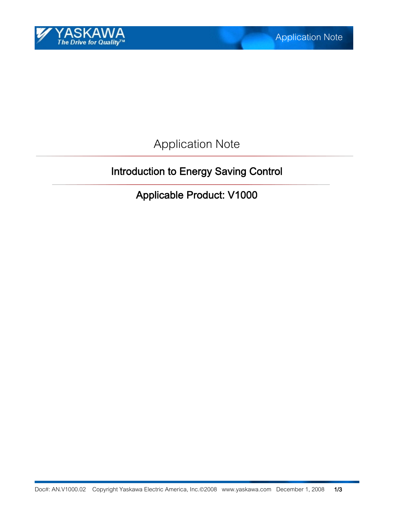

Application Note

# Introduction to Energy Saving Control

Applicable Product: V1000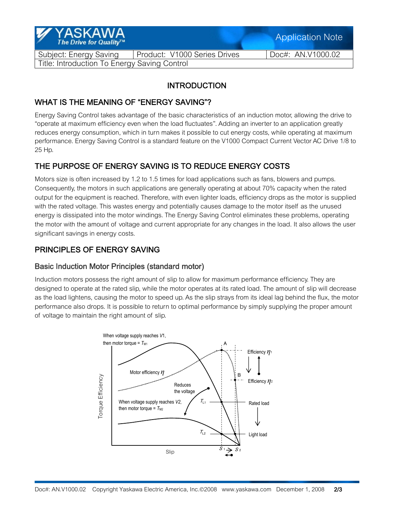| Y YASKAWA<br>The Drive for Quality™          |                              |  | <b>Application Note</b> |  |
|----------------------------------------------|------------------------------|--|-------------------------|--|
| Subject: Energy Saving                       | Product: V1000 Series Drives |  | Doc#: AN.V1000.02       |  |
| Title: Introduction To Energy Saving Control |                              |  |                         |  |

## **INTRODUCTION**

## WHAT IS THE MEANING OF "ENERGY SAVING"?

Energy Saving Control takes advantage of the basic characteristics of an induction motor, allowing the drive to "operate at maximum efficiency even when the load fluctuates". Adding an inverter to an application greatly reduces energy consumption, which in turn makes it possible to cut energy costs, while operating at maximum performance. Energy Saving Control is a standard feature on the V1000 Compact Current Vector AC Drive 1/8 to 25 Hp.

# THE PURPOSE OF ENERGY SAVING IS TO REDUCE ENERGY COSTS

Motors size is often increased by 1.2 to 1.5 times for load applications such as fans, blowers and pumps. Consequently, the motors in such applications are generally operating at about 70% capacity when the rated output for the equipment is reached. Therefore, with even lighter loads, efficiency drops as the motor is supplied with the rated voltage. This wastes energy and potentially causes damage to the motor itself as the unused energy is dissipated into the motor windings. The Energy Saving Control eliminates these problems, operating the motor with the amount of voltage and current appropriate for any changes in the load. It also allows the user significant savings in energy costs.

## PRINCIPLES OF ENERGY SAVING

#### Basic Induction Motor Principles (standard motor)

Induction motors possess the right amount of slip to allow for maximum performance efficiency. They are designed to operate at the rated slip, while the motor operates at its rated load. The amount of slip will decrease as the load lightens, causing the motor to speed up. As the slip strays from its ideal lag behind the flux, the motor performance also drops. It is possible to return to optimal performance by simply supplying the proper amount of voltage to maintain the right amount of slip.